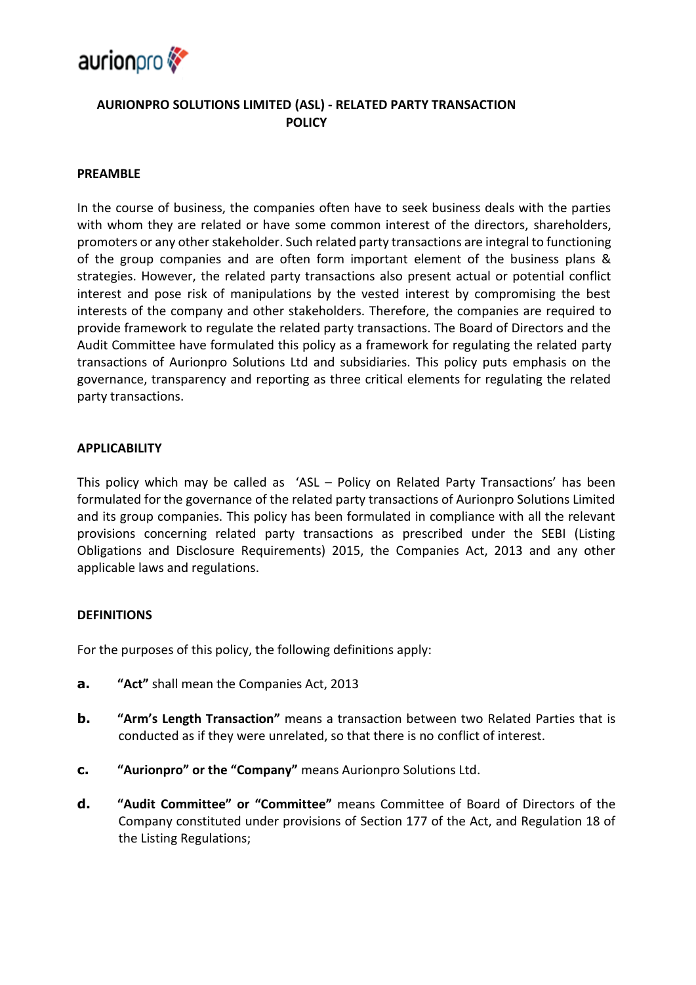

# **AURIONPRO SOLUTIONS LIMITED (ASL) - RELATED PARTY TRANSACTION POLICY**

#### **PREAMBLE**

In the course of business, the companies often have to seek business deals with the parties with whom they are related or have some common interest of the directors, shareholders, promoters or any other stakeholder. Such related party transactions are integral to functioning of the group companies and are often form important element of the business plans & strategies. However, the related party transactions also present actual or potential conflict interest and pose risk of manipulations by the vested interest by compromising the best interests of the company and other stakeholders. Therefore, the companies are required to provide framework to regulate the related party transactions. The Board of Directors and the Audit Committee have formulated this policy as a framework for regulating the related party transactions of Aurionpro Solutions Ltd and subsidiaries. This policy puts emphasis on the governance, transparency and reporting as three critical elements for regulating the related party transactions.

#### **APPLICABILITY**

This policy which may be called as 'ASL – Policy on Related Party Transactions' has been formulated for the governance of the related party transactions of Aurionpro Solutions Limited and its group companies. This policy has been formulated in compliance with all the relevant provisions concerning related party transactions as prescribed under the SEBI (Listing Obligations and Disclosure Requirements) 2015, the Companies Act, 2013 and any other applicable laws and regulations.

#### **DEFINITIONS**

For the purposes of this policy, the following definitions apply:

- **a. "Act"** shall mean the Companies Act, 2013
- **b. "Arm's Length Transaction"** means a transaction between two Related Parties that is conducted as if they were unrelated, so that there is no conflict of interest.
- **c. "Aurionpro" or the "Company"** means Aurionpro Solutions Ltd.
- **d. "Audit Committee" or "Committee"** means Committee of Board of Directors of the Company constituted under provisions of Section 177 of the Act, and Regulation 18 of the Listing Regulations;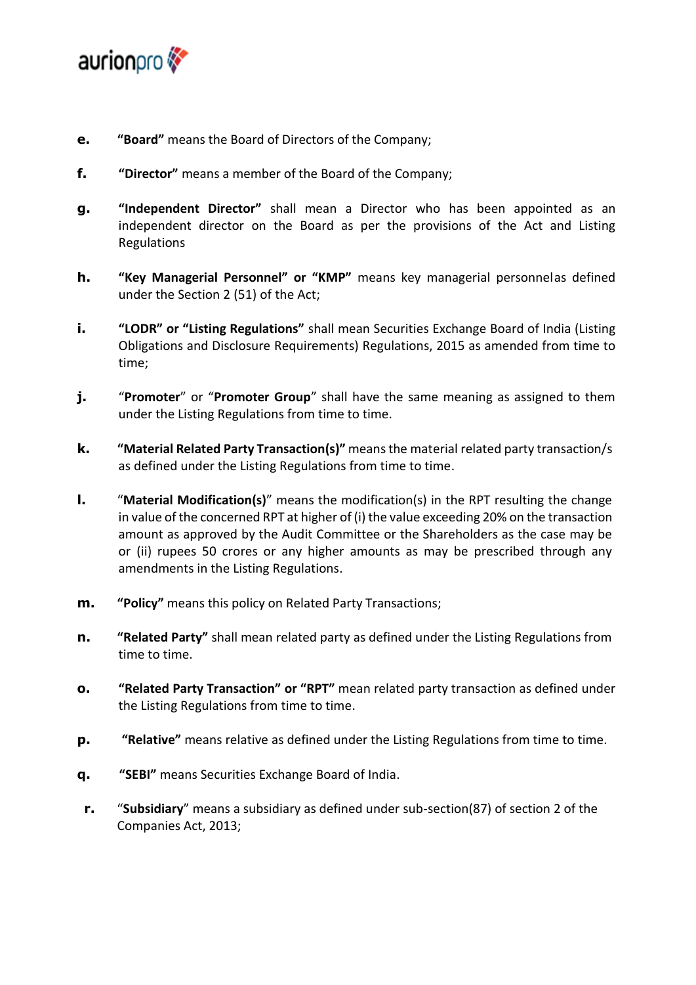

- **e. "Board"** means the Board of Directors of the Company;
- **f. "Director"** means a member of the Board of the Company;
- **g. "Independent Director"** shall mean a Director who has been appointed as an independent director on the Board as per the provisions of the Act and Listing Regulations
- **h. "Key Managerial Personnel" or "KMP"** means key managerial personnelas defined under the Section 2 (51) of the Act;
- **i. "LODR" or "Listing Regulations"** shall mean Securities Exchange Board of India (Listing Obligations and Disclosure Requirements) Regulations, 2015 as amended from time to time;
- **j.** "Promoter" or "Promoter Group" shall have the same meaning as assigned to them under the Listing Regulations from time to time.
- **k. "Material Related Party Transaction(s)"** meansthe material related party transaction/s as defined under the Listing Regulations from time to time.
- **l.** "**Material Modification(s)**" means the modification(s) in the RPT resulting the change in value of the concerned RPT at higher of (i) the value exceeding 20% on the transaction amount as approved by the Audit Committee or the Shareholders as the case may be or (ii) rupees 50 crores or any higher amounts as may be prescribed through any amendments in the Listing Regulations.
- **m. "Policy"** means this policy on Related Party Transactions;
- **n. "Related Party"** shall mean related party as defined under the Listing Regulations from time to time.
- **o. "Related Party Transaction" or "RPT"** mean related party transaction as defined under the Listing Regulations from time to time.
- **p. "Relative"** means relative as defined under the Listing Regulations from time to time.
- **q. "SEBI"** means Securities Exchange Board of India.
- **r.** "**Subsidiary**" means a subsidiary as defined under sub-section(87) of section 2 of the Companies Act, 2013;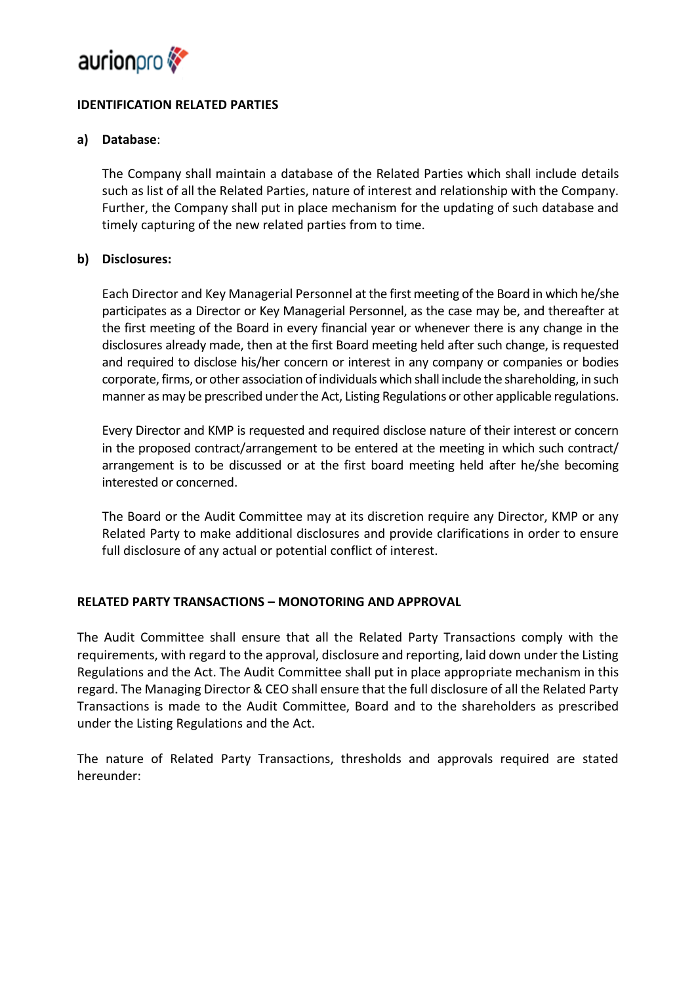

# **IDENTIFICATION RELATED PARTIES**

# **a) Database**:

The Company shall maintain a database of the Related Parties which shall include details such as list of all the Related Parties, nature of interest and relationship with the Company. Further, the Company shall put in place mechanism for the updating of such database and timely capturing of the new related parties from to time.

# **b) Disclosures:**

Each Director and Key Managerial Personnel at the first meeting of the Board in which he/she participates as a Director or Key Managerial Personnel, as the case may be, and thereafter at the first meeting of the Board in every financial year or whenever there is any change in the disclosures already made, then at the first Board meeting held after such change, is requested and required to disclose his/her concern or interest in any company or companies or bodies corporate, firms, or other association of individuals which shall include the shareholding, in such manner as may be prescribed under the Act, Listing Regulations or other applicable regulations.

Every Director and KMP is requested and required disclose nature of their interest or concern in the proposed contract/arrangement to be entered at the meeting in which such contract/ arrangement is to be discussed or at the first board meeting held after he/she becoming interested or concerned.

The Board or the Audit Committee may at its discretion require any Director, KMP or any Related Party to make additional disclosures and provide clarifications in order to ensure full disclosure of any actual or potential conflict of interest.

# **RELATED PARTY TRANSACTIONS – MONOTORING AND APPROVAL**

The Audit Committee shall ensure that all the Related Party Transactions comply with the requirements, with regard to the approval, disclosure and reporting, laid down under the Listing Regulations and the Act. The Audit Committee shall put in place appropriate mechanism in this regard. The Managing Director & CEO shall ensure that the full disclosure of all the Related Party Transactions is made to the Audit Committee, Board and to the shareholders as prescribed under the Listing Regulations and the Act.

The nature of Related Party Transactions, thresholds and approvals required are stated hereunder: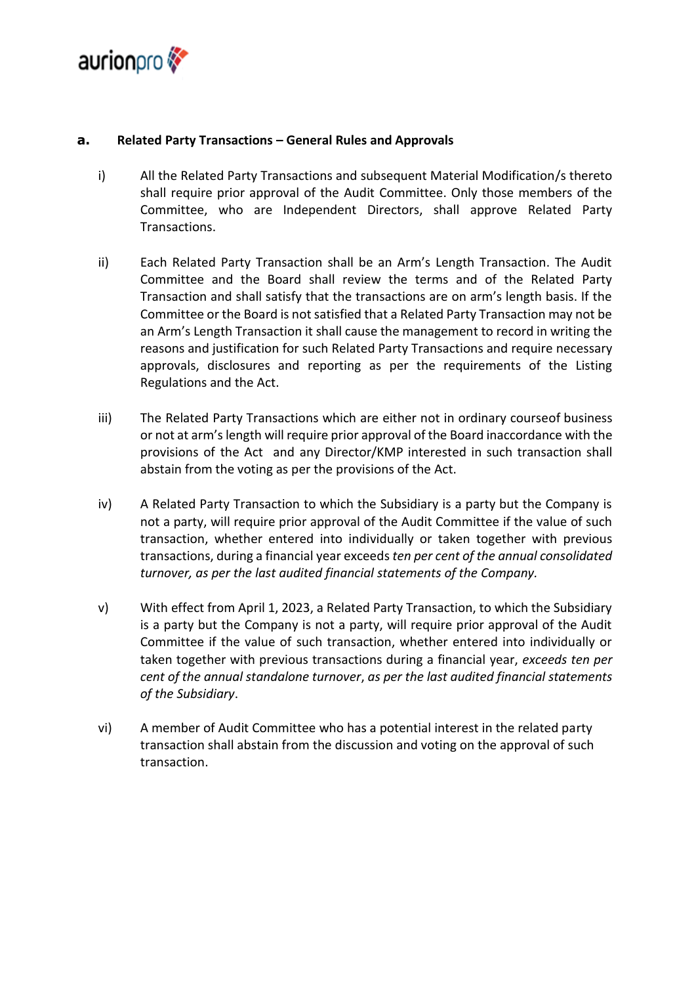

# **a. Related Party Transactions – General Rules and Approvals**

- i) All the Related Party Transactions and subsequent Material Modification/s thereto shall require prior approval of the Audit Committee. Only those members of the Committee, who are Independent Directors, shall approve Related Party Transactions.
- ii) Each Related Party Transaction shall be an Arm's Length Transaction. The Audit Committee and the Board shall review the terms and of the Related Party Transaction and shall satisfy that the transactions are on arm's length basis. If the Committee or the Board is not satisfied that a Related Party Transaction may not be an Arm's Length Transaction it shall cause the management to record in writing the reasons and justification for such Related Party Transactions and require necessary approvals, disclosures and reporting as per the requirements of the Listing Regulations and the Act.
- iii) The Related Party Transactions which are either not in ordinary courseof business or not at arm'slength will require prior approval of the Board inaccordance with the provisions of the Act and any Director/KMP interested in such transaction shall abstain from the voting as per the provisions of the Act.
- iv) A Related Party Transaction to which the Subsidiary is a party but the Company is not a party, will require prior approval of the Audit Committee if the value of such transaction, whether entered into individually or taken together with previous transactions, during a financial year exceeds *ten per cent of the annual consolidated turnover, as per the last audited financial statements of the Company.*
- v) With effect from April 1, 2023, a Related Party Transaction, to which the Subsidiary is a party but the Company is not a party, will require prior approval of the Audit Committee if the value of such transaction, whether entered into individually or taken together with previous transactions during a financial year, *exceeds ten per cent of the annual standalone turnover*, *as per the last audited financial statements of the Subsidiary*.
- vi) A member of Audit Committee who has a potential interest in the related party transaction shall abstain from the discussion and voting on the approval of such transaction.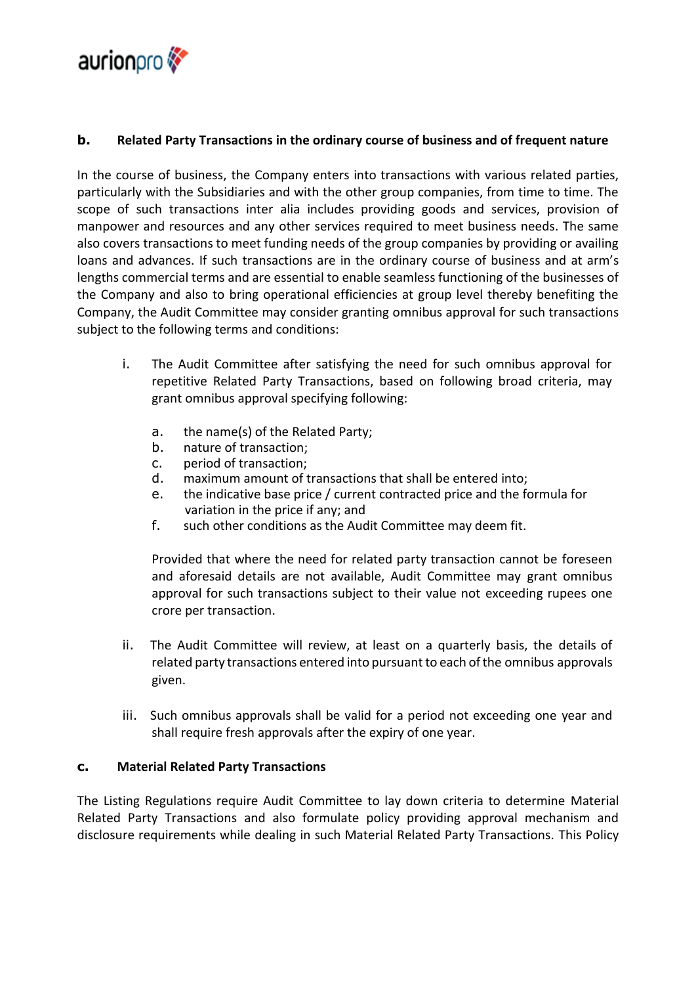

# **b. Related Party Transactions in the ordinary course of business and of frequent nature**

In the course of business, the Company enters into transactions with various related parties, particularly with the Subsidiaries and with the other group companies, from time to time. The scope of such transactions inter alia includes providing goods and services, provision of manpower and resources and any other services required to meet business needs. The same also covers transactions to meet funding needs of the group companies by providing or availing loans and advances. If such transactions are in the ordinary course of business and at arm's lengths commercial terms and are essential to enable seamless functioning of the businesses of the Company and also to bring operational efficiencies at group level thereby benefiting the Company, the Audit Committee may consider granting omnibus approval for such transactions subject to the following terms and conditions:

- i. The Audit Committee after satisfying the need for such omnibus approval for repetitive Related Party Transactions, based on following broad criteria, may grant omnibus approval specifying following:
	- a. the name(s) of the Related Party;
	- b. nature of transaction;
	- c. period of transaction;
	- d. maximum amount of transactions that shall be entered into;
	- e. the indicative base price / current contracted price and the formula for variation in the price if any; and
	- f. such other conditions as the Audit Committee may deem fit.

Provided that where the need for related party transaction cannot be foreseen and aforesaid details are not available, Audit Committee may grant omnibus approval for such transactions subject to their value not exceeding rupees one crore per transaction.

- ii. The Audit Committee will review, at least on a quarterly basis, the details of related party transactions entered into pursuant to each ofthe omnibus approvals given.
- iii. Such omnibus approvals shall be valid for a period not exceeding one year and shall require fresh approvals after the expiry of one year.

# **c. Material Related Party Transactions**

The Listing Regulations require Audit Committee to lay down criteria to determine Material Related Party Transactions and also formulate policy providing approval mechanism and disclosure requirements while dealing in such Material Related Party Transactions. This Policy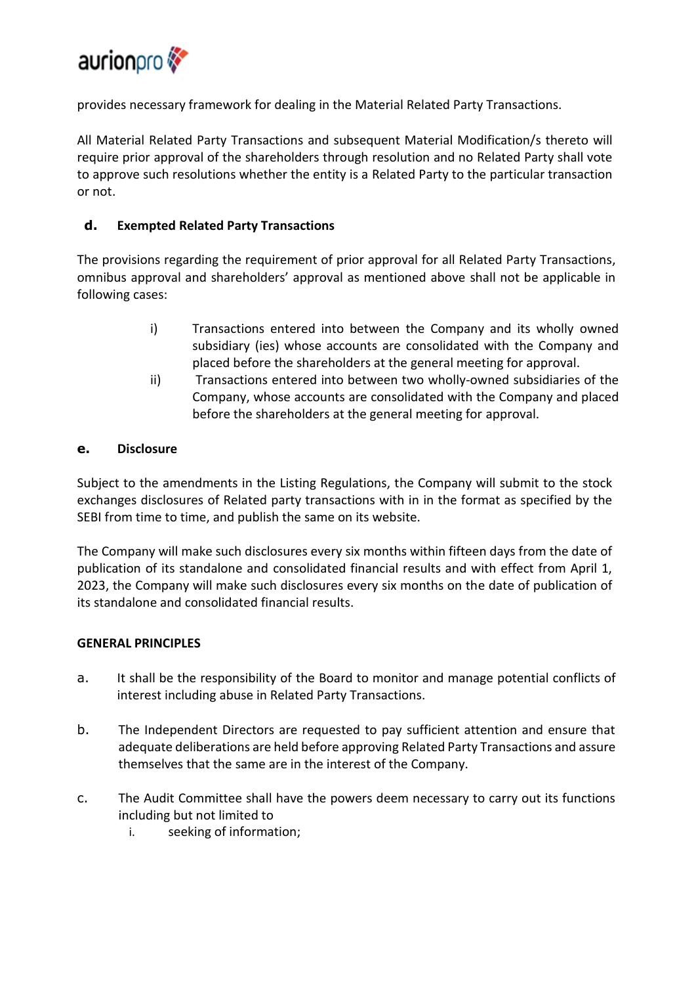

provides necessary framework for dealing in the Material Related Party Transactions.

All Material Related Party Transactions and subsequent Material Modification/s thereto will require prior approval of the shareholders through resolution and no Related Party shall vote to approve such resolutions whether the entity is a Related Party to the particular transaction or not.

# **d. Exempted Related Party Transactions**

The provisions regarding the requirement of prior approval for all Related Party Transactions, omnibus approval and shareholders' approval as mentioned above shall not be applicable in following cases:

- i) Transactions entered into between the Company and its wholly owned subsidiary (ies) whose accounts are consolidated with the Company and placed before the shareholders at the general meeting for approval.
- ii) Transactions entered into between two wholly-owned subsidiaries of the Company, whose accounts are consolidated with the Company and placed before the shareholders at the general meeting for approval.

# **e. Disclosure**

Subject to the amendments in the Listing Regulations, the Company will submit to the stock exchanges disclosures of Related party transactions with in in the format as specified by the SEBI from time to time, and publish the same on its website.

The Company will make such disclosures every six months within fifteen days from the date of publication of its standalone and consolidated financial results and with effect from April 1, 2023, the Company will make such disclosures every six months on the date of publication of its standalone and consolidated financial results.

# **GENERAL PRINCIPLES**

- a. It shall be the responsibility of the Board to monitor and manage potential conflicts of interest including abuse in Related Party Transactions.
- b. The Independent Directors are requested to pay sufficient attention and ensure that adequate deliberations are held before approving Related Party Transactions and assure themselves that the same are in the interest of the Company.
- c. The Audit Committee shall have the powers deem necessary to carry out its functions including but not limited to
	- i. seeking of information;